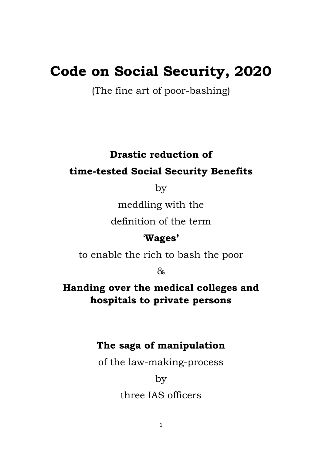# **Code on Social Security, 2020**

(The fine art of poor-bashing)

# **Drastic reduction of**

# **time-tested Social Security Benefits**

by

meddling with the

definition of the term

# '**Wages'**

to enable the rich to bash the poor

 $\lambda$ 

**Handing over the medical colleges and hospitals to private persons**

# **The saga of manipulation**

of the law-making-process

by three IAS officers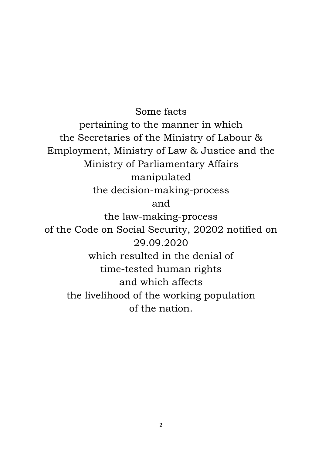Some facts pertaining to the manner in which the Secretaries of the Ministry of Labour & Employment, Ministry of Law & Justice and the Ministry of Parliamentary Affairs manipulated the decision-making-process and the law-making-process of the Code on Social Security, 20202 notified on 29.09.2020 which resulted in the denial of time-tested human rights and which affects the livelihood of the working population of the nation.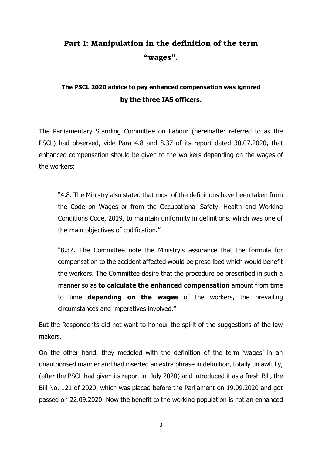# **Part I: Manipulation in the definition of the term "wages".**

# **The PSCL 2020 advice to pay enhanced compensation was ignored by the three IAS officers.**

The Parliamentary Standing Committee on Labour (hereinafter referred to as the PSCL) had observed, vide Para 4.8 and 8.37 of its report dated 30.07.2020, that enhanced compensation should be given to the workers depending on the wages of the workers:

"4.8. The Ministry also stated that most of the definitions have been taken from the Code on Wages or from the Occupational Safety, Health and Working Conditions Code, 2019, to maintain uniformity in definitions, which was one of the main objectives of codification."

"8.37. The Committee note the Ministry's assurance that the formula for compensation to the accident affected would be prescribed which would benefit the workers. The Committee desire that the procedure be prescribed in such a manner so as **to calculate the enhanced compensation** amount from time to time **depending on the wages** of the workers, the prevailing circumstances and imperatives involved."

But the Respondents did not want to honour the spirit of the suggestions of the law makers.

On the other hand, they meddled with the definition of the term 'wages' in an unauthorised manner and had inserted an extra phrase in definition, totally unlawfully, (after the PSCL had given its report in July 2020) and introduced it as a fresh Bill, the Bill No. 121 of 2020, which was placed before the Parliament on 19.09.2020 and got passed on 22.09.2020. Now the benefit to the working population is not an enhanced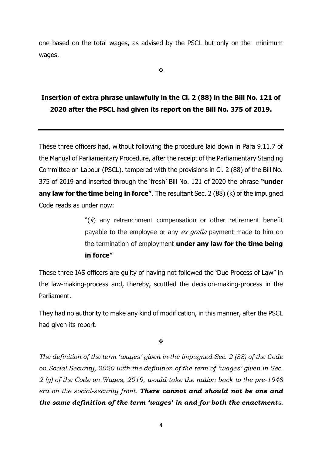one based on the total wages, as advised by the PSCL but only on the minimum wages.

❖

# **Insertion of extra phrase unlawfully in the Cl. 2 (88) in the Bill No. 121 of 2020 after the PSCL had given its report on the Bill No. 375 of 2019.**

These three officers had, without following the procedure laid down in Para 9.11.7 of the Manual of Parliamentary Procedure, after the receipt of the Parliamentary Standing Committee on Labour (PSCL), tampered with the provisions in Cl. 2 (88) of the Bill No. 375 of 2019 and inserted through the 'fresh' Bill No. 121 of 2020 the phrase **"under any law for the time being in force"**. The resultant Sec. 2 (88) (k) of the impugned Code reads as under now:

> $\mathcal{H}(k)$  any retrenchment compensation or other retirement benefit payable to the employee or any ex gratia payment made to him on the termination of employment **under any law for the time being in force"**

These three IAS officers are guilty of having not followed the 'Due Process of Law" in the law-making-process and, thereby, scuttled the decision-making-process in the Parliament.

They had no authority to make any kind of modification, in this manner, after the PSCL had given its report.

❖

*The definition of the term 'wages' given in the impugned Sec. 2 (88) of the Code on Social Security, 2020 with the definition of the term of 'wages' given in Sec. 2 (y) of the Code on Wages, 2019, would take the nation back to the pre-1948 era on the social-security front. There cannot and should not be one and the same definition of the term 'wages' in and for both the enactments.*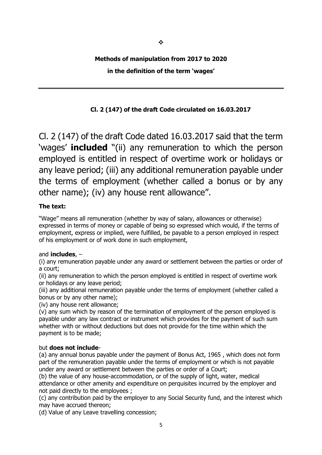#### **Methods of manipulation from 2017 to 2020**

#### **in the definition of the term 'wages'**

### **Cl. 2 (147) of the draft Code circulated on 16.03.2017**

Cl. 2 (147) of the draft Code dated 16.03.2017 said that the term 'wages' **included** "(ii) any remuneration to which the person employed is entitled in respect of overtime work or holidays or any leave period; (iii) any additional remuneration payable under the terms of employment (whether called a bonus or by any other name); (iv) any house rent allowance".

#### **The text:**

"Wage" means all remuneration (whether by way of salary, allowances or otherwise) expressed in terms of money or capable of being so expressed which would, if the terms of employment, express or implied, were fulfilled, be payable to a person employed in respect of his employment or of work done in such employment,

#### and **includes**, –

(i) any remuneration payable under any award or settlement between the parties or order of a court;

(ii) any remuneration to which the person employed is entitled in respect of overtime work or holidays or any leave period;

(iii) any additional remuneration payable under the terms of employment (whether called a bonus or by any other name);

(iv) any house rent allowance;

(v) any sum which by reason of the termination of employment of the person employed is payable under any law contract or instrument which provides for the payment of such sum whether with or without deductions but does not provide for the time within which the payment is to be made;

#### but **does not include**-

(a) any annual bonus payable under the payment of Bonus Act, 1965 , which does not form part of the remuneration payable under the terms of employment or which is not payable under any award or settlement between the parties or order of a Court;

(b) the value of any house-accommodation, or of the supply of light, water, medical attendance or other amenity and expenditure on perquisites incurred by the employer and not paid directly to the employees ;

(c) any contribution paid by the employer to any Social Security fund, and the interest which may have accrued thereon;

(d) Value of any Leave travelling concession;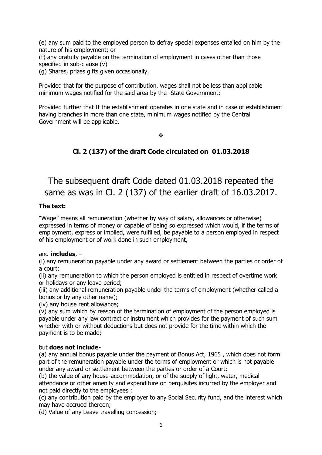(e) any sum paid to the employed person to defray special expenses entailed on him by the nature of his employment; or

(f) any gratuity payable on the termination of employment in cases other than those specified in sub-clause (v)

(g) Shares, prizes gifts given occasionally.

Provided that for the purpose of contribution, wages shall not be less than applicable minimum wages notified for the said area by the -State Government;

Provided further that If the establishment operates in one state and in case of establishment having branches in more than one state, minimum wages notified by the Central Government will be applicable.

❖

### **Cl. 2 (137) of the draft Code circulated on 01.03.2018**

# The subsequent draft Code dated 01.03.2018 repeated the same as was in Cl. 2 (137) of the earlier draft of 16.03.2017.

#### **The text:**

"Wage" means all remuneration (whether by way of salary, allowances or otherwise) expressed in terms of money or capable of being so expressed which would, if the terms of employment, express or implied, were fulfilled, be payable to a person employed in respect of his employment or of work done in such employment,

#### and **includes**, –

(i) any remuneration payable under any award or settlement between the parties or order of a court;

(ii) any remuneration to which the person employed is entitled in respect of overtime work or holidays or any leave period;

(iii) any additional remuneration payable under the terms of employment (whether called a bonus or by any other name);

(iv) any house rent allowance;

(v) any sum which by reason of the termination of employment of the person employed is payable under any law contract or instrument which provides for the payment of such sum whether with or without deductions but does not provide for the time within which the payment is to be made;

#### but **does not include-**

(a) any annual bonus payable under the payment of Bonus Act, 1965 , which does not form part of the remuneration payable under the terms of employment or which is not payable under any award or settlement between the parties or order of a Court;

(b) the value of any house-accommodation, or of the supply of light, water, medical attendance or other amenity and expenditure on perquisites incurred by the employer and not paid directly to the employees ;

(c) any contribution paid by the employer to any Social Security fund, and the interest which may have accrued thereon;

(d) Value of any Leave travelling concession;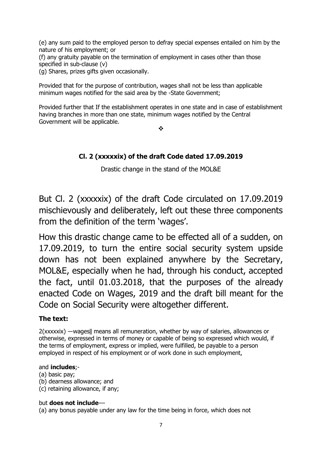(e) any sum paid to the employed person to defray special expenses entailed on him by the nature of his employment; or

(f) any gratuity payable on the termination of employment in cases other than those specified in sub-clause (v)

(g) Shares, prizes gifts given occasionally.

Provided that for the purpose of contribution, wages shall not be less than applicable minimum wages notified for the said area by the -State Government;

Provided further that If the establishment operates in one state and in case of establishment having branches in more than one state, minimum wages notified by the Central Government will be applicable.

❖

### **Cl. 2 (xxxxxix) of the draft Code dated 17.09.2019**

Drastic change in the stand of the MOL&E

But Cl. 2 (xxxxxix) of the draft Code circulated on 17.09.2019 mischievously and deliberately, left out these three components from the definition of the term 'wages'.

How this drastic change came to be effected all of a sudden, on 17.09.2019, to turn the entire social security system upside down has not been explained anywhere by the Secretary, MOL&E, especially when he had, through his conduct, accepted the fact, until 01.03.2018, that the purposes of the already enacted Code on Wages, 2019 and the draft bill meant for the Code on Social Security were altogether different.

### **The text:**

2(xxxxxix) ―wages‖ means all remuneration, whether by way of salaries, allowances or otherwise, expressed in terms of money or capable of being so expressed which would, if the terms of employment, express or implied, were fulfilled, be payable to a person employed in respect of his employment or of work done in such employment,

#### and **includes**;-

(a) basic pay;

(b) dearness allowance; and

(c) retaining allowance, if any;

#### but **does not include**––

(a) any bonus payable under any law for the time being in force, which does not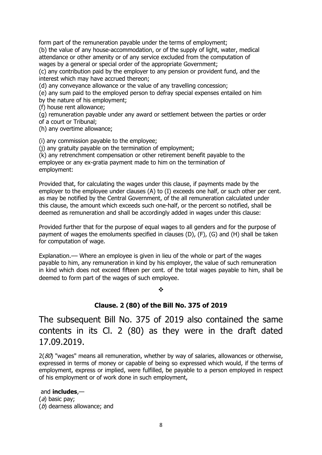form part of the remuneration payable under the terms of employment;

(b) the value of any house-accommodation, or of the supply of light, water, medical attendance or other amenity or of any service excluded from the computation of wages by a general or special order of the appropriate Government;

(c) any contribution paid by the employer to any pension or provident fund, and the interest which may have accrued thereon;

(d) any conveyance allowance or the value of any travelling concession;

(e) any sum paid to the employed person to defray special expenses entailed on him by the nature of his employment;

(f) house rent allowance;

(g) remuneration payable under any award or settlement between the parties or order of a court or Tribunal;

(h) any overtime allowance;

(i) any commission payable to the employee;

(j) any gratuity payable on the termination of employment;

(k) any retrenchment compensation or other retirement benefit payable to the employee or any ex-gratia payment made to him on the termination of employment:

Provided that, for calculating the wages under this clause, if payments made by the employer to the employee under clauses (A) to (I) exceeds one half, or such other per cent. as may be notified by the Central Government, of the all remuneration calculated under this clause, the amount which exceeds such one-half, or the percent so notified, shall be deemed as remuneration and shall be accordingly added in wages under this clause:

Provided further that for the purpose of equal wages to all genders and for the purpose of payment of wages the emoluments specified in clauses (D), (F), (G) and (H) shall be taken for computation of wage.

Explanation.–– Where an employee is given in lieu of the whole or part of the wages payable to him, any remuneration in kind by his employer, the value of such remuneration in kind which does not exceed fifteen per cent. of the total wages payable to him, shall be deemed to form part of the wages of such employee.

#### ❖

#### **Clause. 2 (80) of the Bill No. 375 of 2019**

The subsequent Bill No. 375 of 2019 also contained the same contents in its Cl. 2 (80) as they were in the draft dated 17.09.2019.

 $2(80)$  "wages" means all remuneration, whether by way of salaries, allowances or otherwise, expressed in terms of money or capable of being so expressed which would, if the terms of employment, express or implied, were fulfilled, be payable to a person employed in respect of his employment or of work done in such employment,

#### and **includes**,—

(a) basic pay; (b) dearness allowance; and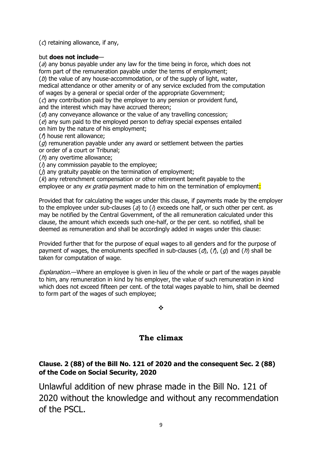$(c)$  retaining allowance, if any,

#### but **does not include**—

 $(a)$  any bonus payable under any law for the time being in force, which does not form part of the remuneration payable under the terms of employment;

 $(b)$  the value of any house-accommodation, or of the supply of light, water,

medical attendance or other amenity or of any service excluded from the computation of wages by a general or special order of the appropriate Government;

 $(c)$  any contribution paid by the employer to any pension or provident fund, and the interest which may have accrued thereon;

 $(d)$  any conveyance allowance or the value of any travelling concession;

 $(e)$  any sum paid to the employed person to defray special expenses entailed on him by the nature of his employment;

(f) house rent allowance;

 $(q)$  remuneration payable under any award or settlement between the parties or order of a court or Tribunal;

 $(h)$  any overtime allowance:

 $(i)$  any commission payable to the employee;

 $(j)$  any gratuity payable on the termination of employment;

 $(k)$  any retrenchment compensation or other retirement benefit payable to the employee or any ex gratia payment made to him on the termination of employment:

Provided that for calculating the wages under this clause, if payments made by the employer to the employee under sub-clauses (a) to ( $\lambda$ ) exceeds one half, or such other per cent. as may be notified by the Central Government, of the all remuneration calculated under this clause, the amount which exceeds such one-half, or the per cent. so notified, shall be deemed as remuneration and shall be accordingly added in wages under this clause:

Provided further that for the purpose of equal wages to all genders and for the purpose of payment of wages, the emoluments specified in sub-clauses  $(d)$ ,  $(f)$ ,  $(g)$  and  $(h)$  shall be taken for computation of wage.

Explanation.—Where an employee is given in lieu of the whole or part of the wages payable to him, any remuneration in kind by his employer, the value of such remuneration in kind which does not exceed fifteen per cent. of the total wages payable to him, shall be deemed to form part of the wages of such employee;

❖

### **The climax**

### **Clause. 2 (88) of the Bill No. 121 of 2020 and the consequent Sec. 2 (88) of the Code on Social Security, 2020**

Unlawful addition of new phrase made in the Bill No. 121 of 2020 without the knowledge and without any recommendation of the PSCL.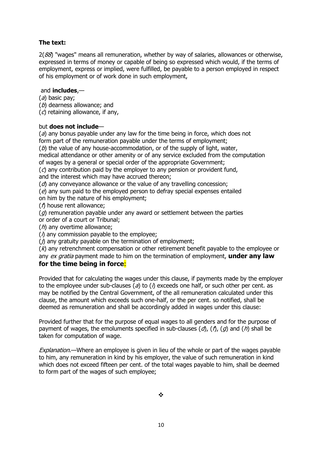#### **The text:**

 $2(88)$  "wages" means all remuneration, whether by way of salaries, allowances or otherwise, expressed in terms of money or capable of being so expressed which would, if the terms of employment, express or implied, were fulfilled, be payable to a person employed in respect of his employment or of work done in such employment,

#### and **includes**,—

- (a) basic pay;
- (b) dearness allowance; and
- $(c)$  retaining allowance, if any,

#### but **does not include**—

 $(a)$  any bonus payable under any law for the time being in force, which does not form part of the remuneration payable under the terms of employment;

 $(b)$  the value of any house-accommodation, or of the supply of light, water, medical attendance or other amenity or of any service excluded from the computation

of wages by a general or special order of the appropriate Government;

 $(c)$  any contribution paid by the employer to any pension or provident fund,

and the interest which may have accrued thereon;

 $(d)$  any conveyance allowance or the value of any travelling concession;

 $(e)$  any sum paid to the employed person to defray special expenses entailed

on him by the nature of his employment;

(f) house rent allowance;

 $(q)$  remuneration payable under any award or settlement between the parties or order of a court or Tribunal;

 $(h)$  any overtime allowance;

 $(h)$  any commission payable to the employee;

 $(j)$  any gratuity payable on the termination of employment;

 $(k)$  any retrenchment compensation or other retirement benefit payable to the employee or any ex gratia payment made to him on the termination of employment, **under any law** 

#### **for the time being in force**:

Provided that for calculating the wages under this clause, if payments made by the employer to the employee under sub-clauses ( $a$ ) to ( $i$ ) exceeds one half, or such other per cent. as may be notified by the Central Government, of the all remuneration calculated under this clause, the amount which exceeds such one-half, or the per cent. so notified, shall be deemed as remuneration and shall be accordingly added in wages under this clause:

Provided further that for the purpose of equal wages to all genders and for the purpose of payment of wages, the emoluments specified in sub-clauses  $(d)$ ,  $(f)$ ,  $(g)$  and  $(h)$  shall be taken for computation of wage.

Explanation.—Where an employee is given in lieu of the whole or part of the wages payable to him, any remuneration in kind by his employer, the value of such remuneration in kind which does not exceed fifteen per cent. of the total wages payable to him, shall be deemed to form part of the wages of such employee;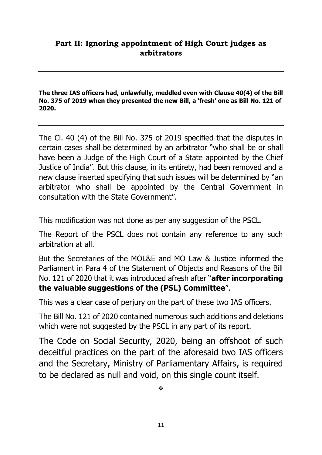## **Part II: Ignoring appointment of High Court judges as arbitrators**

**The three IAS officers had, unlawfully, meddled even with Clause 40(4) of the Bill No. 375 of 2019 when they presented the new Bill, a 'fresh' one as Bill No. 121 of 2020.**

The Cl. 40 (4) of the Bill No. 375 of 2019 specified that the disputes in certain cases shall be determined by an arbitrator "who shall be or shall have been a Judge of the High Court of a State appointed by the Chief Justice of India". But this clause, in its entirety, had been removed and a new clause inserted specifying that such issues will be determined by "an arbitrator who shall be appointed by the Central Government in consultation with the State Government".

This modification was not done as per any suggestion of the PSCL.

The Report of the PSCL does not contain any reference to any such arbitration at all.

But the Secretaries of the MOL&E and MO Law & Justice informed the Parliament in Para 4 of the Statement of Objects and Reasons of the Bill No. 121 of 2020 that it was introduced afresh after "**after incorporating the valuable suggestions of the (PSL) Committee**".

This was a clear case of perjury on the part of these two IAS officers.

The Bill No. 121 of 2020 contained numerous such additions and deletions which were not suggested by the PSCL in any part of its report.

The Code on Social Security, 2020, being an offshoot of such deceitful practices on the part of the aforesaid two IAS officers and the Secretary, Ministry of Parliamentary Affairs, is required to be declared as null and void, on this single count itself.

❖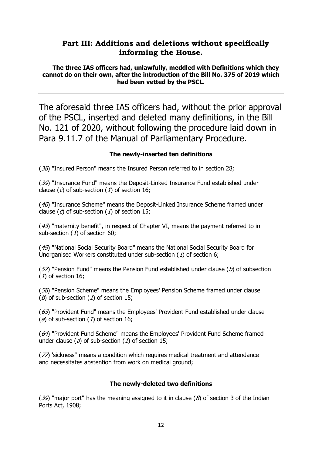### **Part III: Additions and deletions without specifically informing the House.**

**The three IAS officers had, unlawfully, meddled with Definitions which they cannot do on their own, after the introduction of the Bill No. 375 of 2019 which had been vetted by the PSCL.** 

The aforesaid three IAS officers had, without the prior approval of the PSCL, inserted and deleted many definitions, in the Bill No. 121 of 2020, without following the procedure laid down in Para 9.11.7 of the Manual of Parliamentary Procedure.

#### **The newly-inserted ten definitions**

(38) "Insured Person" means the Insured Person referred to in section 28;

(39) "Insurance Fund" means the Deposit-Linked Insurance Fund established under clause  $(c)$  of sub-section  $(1)$  of section 16;

(40) "Insurance Scheme" means the Deposit-Linked Insurance Scheme framed under clause  $(c)$  of sub-section  $(1)$  of section 15;

(43) "maternity benefit", in respect of Chapter VI, means the payment referred to in sub-section  $(1)$  of section 60;

(49) "National Social Security Board" means the National Social Security Board for Unorganised Workers constituted under sub-section  $(1)$  of section 6;

( $57$ ) "Pension Fund" means the Pension Fund established under clause ( $b$ ) of subsection  $(1)$  of section 16;

(58) "Pension Scheme" means the Employees' Pension Scheme framed under clause (b) of sub-section  $(1)$  of section 15;

 $(63)$  "Provident Fund" means the Employees' Provident Fund established under clause (a) of sub-section (1) of section 16;

(64) "Provident Fund Scheme" means the Employees' Provident Fund Scheme framed under clause ( $a$ ) of sub-section ( $1$ ) of section 15;

(77) 'sickness" means a condition which requires medical treatment and attendance and necessitates abstention from work on medical ground;

#### **The newly-deleted two definitions**

(39) "major port" has the meaning assigned to it in clause ( $\delta$ ) of section 3 of the Indian Ports Act, 1908;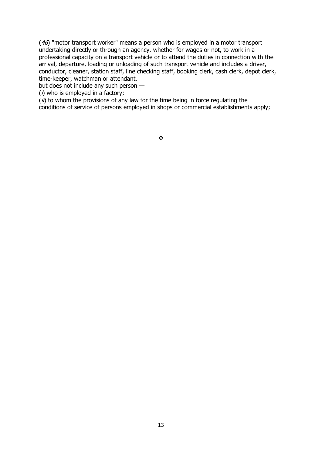(46) "motor transport worker" means a person who is employed in a motor transport undertaking directly or through an agency, whether for wages or not, to work in a professional capacity on a transport vehicle or to attend the duties in connection with the arrival, departure, loading or unloading of such transport vehicle and includes a driver, conductor, cleaner, station staff, line checking staff, booking clerk, cash clerk, depot clerk, time-keeper, watchman or attendant,

but does not include any such person —

 $(i)$  who is employed in a factory;

 $(i)$  to whom the provisions of any law for the time being in force regulating the conditions of service of persons employed in shops or commercial establishments apply;

❖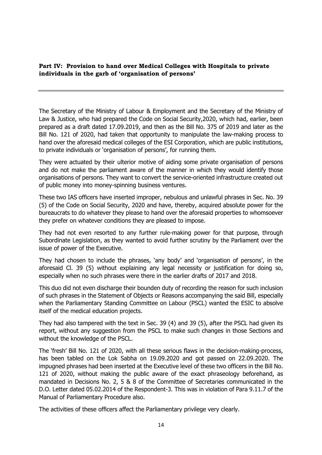**Part IV: Provision to hand over Medical Colleges with Hospitals to private individuals in the garb of 'organisation of persons'**

The Secretary of the Ministry of Labour & Employment and the Secretary of the Ministry of Law & Justice, who had prepared the Code on Social Security,2020, which had, earlier, been prepared as a draft dated 17.09.2019, and then as the Bill No. 375 of 2019 and later as the Bill No. 121 of 2020, had taken that opportunity to manipulate the law-making process to hand over the aforesaid medical colleges of the ESI Corporation, which are public institutions, to private individuals or 'organisation of persons', for running them.

They were actuated by their ulterior motive of aiding some private organisation of persons and do not make the parliament aware of the manner in which they would identify those organisations of persons. They want to convert the service-oriented infrastructure created out of public money into money-spinning business ventures.

These two IAS officers have inserted improper, nebulous and unlawful phrases in Sec. No. 39 (5) of the Code on Social Security, 2020 and have, thereby, acquired absolute power for the bureaucrats to do whatever they please to hand over the aforesaid properties to whomsoever they prefer on whatever conditions they are pleased to impose.

They had not even resorted to any further rule-making power for that purpose, through Subordinate Legislation, as they wanted to avoid further scrutiny by the Parliament over the issue of power of the Executive.

They had chosen to include the phrases, 'any body' and 'organisation of persons', in the aforesaid Cl. 39 (5) without explaining any legal necessity or justification for doing so, especially when no such phrases were there in the earlier drafts of 2017 and 2018.

This duo did not even discharge their bounden duty of recording the reason for such inclusion of such phrases in the Statement of Objects or Reasons accompanying the said Bill, especially when the Parliamentary Standing Committee on Labour (PSCL) wanted the ESIC to absolve itself of the medical education projects.

They had also tampered with the text in Sec. 39 (4) and 39 (5), after the PSCL had given its report, without any suggestion from the PSCL to make such changes in those Sections and without the knowledge of the PSCL.

The 'fresh' Bill No. 121 of 2020, with all these serious flaws in the decision-making-process, has been tabled on the Lok Sabha on 19.09.2020 and got passed on 22.09.2020. The impugned phrases had been inserted at the Executive level of these two officers in the Bill No. 121 of 2020, without making the public aware of the exact phraseology beforehand, as mandated in Decisions No. 2, 5 & 8 of the Committee of Secretaries communicated in the D.O. Letter dated 05.02.2014 of the Respondent-3. This was in violation of Para 9.11.7 of the Manual of Parliamentary Procedure also.

The activities of these officers affect the Parliamentary privilege very clearly.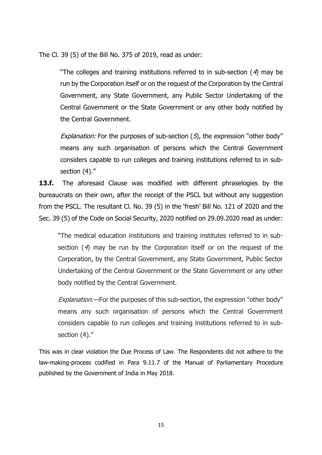The Cl. 39 (5) of the Bill No. 375 of 2019, read as under:

"The colleges and training institutions referred to in sub-section  $(4)$  may be run by the Corporation itself or on the request of the Corporation by the Central Government, any State Government, any Public Sector Undertaking of the Central Government or the State Government or any other body notified by the Central Government.

Explanation: For the purposes of sub-section  $(5)$ , the expression "other body" means any such organisation of persons which the Central Government considers capable to run colleges and training institutions referred to in subsection (4)."

**13.f.** The aforesaid Clause was modified with different phraselogies by the bureaucrats on their own, after the receipt of the PSCL but without any suggestion from the PSCL. The resultant Cl. No. 39 (5) in the 'fresh' Bill No. 121 of 2020 and the Sec. 39 (5) of the Code on Social Security, 2020 notified on 29.09.2020 read as under:

"The medical education institutions and training institutes referred to in subsection  $(4)$  may be run by the Corporation itself or on the request of the Corporation, by the Central Government, any State Government, Public Sector Undertaking of the Central Government or the State Government or any other body notified by the Central Government.

Explanation.—For the purposes of this sub-section, the expression "other body" means any such organisation of persons which the Central Government considers capable to run colleges and training institutions referred to in subsection (4)."

This was in clear violation the Due Process of Law. The Respondents did not adhere to the law-making-process codified in Para 9.11.7 of the Manual of Parliamentary Procedure published by the Government of India in May 2018.

15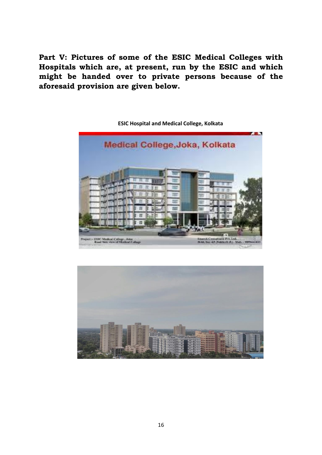**Part V: Pictures of some of the ESIC Medical Colleges with Hospitals which are, at present, run by the ESIC and which might be handed over to private persons because of the aforesaid provision are given below.** 



**ESIC Hospital and Medical College, Kolkata**

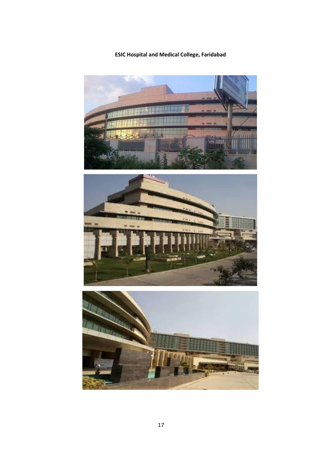**ESIC Hospital and Medical College, Faridabad**





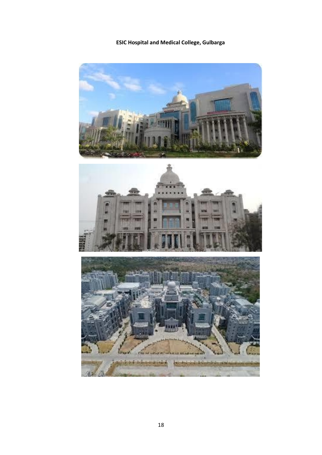**ESIC Hospital and Medical College, Gulbarga**

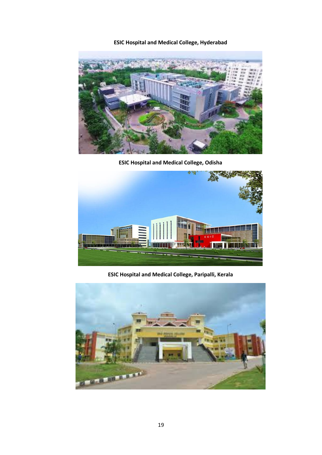**ESIC Hospital and Medical College, Hyderabad**



**ESIC Hospital and Medical College, Odisha**



**ESIC Hospital and Medical College, Paripalli, Kerala**

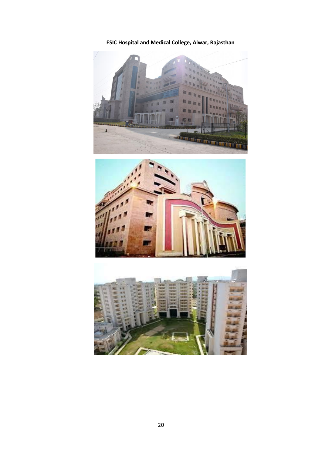**ESIC Hospital and Medical College, Alwar, Rajasthan**





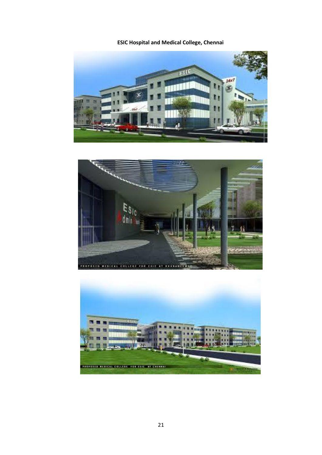**ESIC Hospital and Medical College, Chennai**





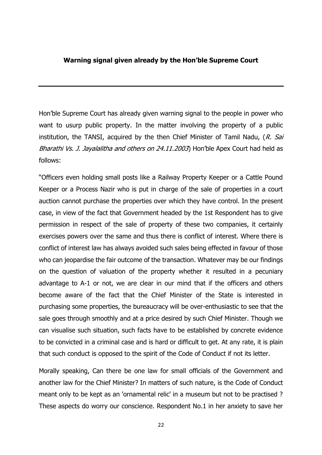#### **Warning signal given already by the Hon'ble Supreme Court**

Hon'ble Supreme Court has already given warning signal to the people in power who want to usurp public property. In the matter involving the property of a public institution, the TANSI, acquired by the then Chief Minister of Tamil Nadu,  $(R. Sai)$ Bharathi Vs. J. Jayalalitha and others on 24.11.2003) Hon'ble Apex Court had held as follows:

"Officers even holding small posts like a Railway Property Keeper or a Cattle Pound Keeper or a Process Nazir who is put in charge of the sale of properties in a court auction cannot purchase the properties over which they have control. In the present case, in view of the fact that Government headed by the 1st Respondent has to give permission in respect of the sale of property of these two companies, it certainly exercises powers over the same and thus there is conflict of interest. Where there is conflict of interest law has always avoided such sales being effected in favour of those who can jeopardise the fair outcome of the transaction. Whatever may be our findings on the question of valuation of the property whether it resulted in a pecuniary advantage to A-1 or not, we are clear in our mind that if the officers and others become aware of the fact that the Chief Minister of the State is interested in purchasing some properties, the bureaucracy will be over-enthusiastic to see that the sale goes through smoothly and at a price desired by such Chief Minister. Though we can visualise such situation, such facts have to be established by concrete evidence to be convicted in a criminal case and is hard or difficult to get. At any rate, it is plain that such conduct is opposed to the spirit of the Code of Conduct if not its letter.

Morally speaking, Can there be one law for small officials of the Government and another law for the Chief Minister? In matters of such nature, is the Code of Conduct meant only to be kept as an 'ornamental relic' in a museum but not to be practised ? These aspects do worry our conscience. Respondent No.1 in her anxiety to save her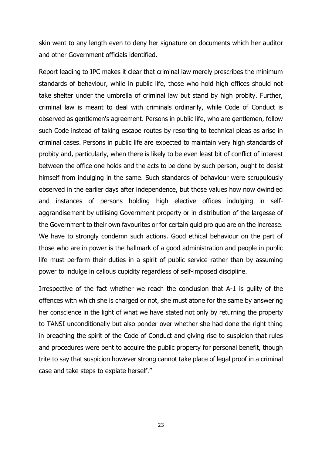skin went to any length even to deny her signature on documents which her auditor and other Government officials identified.

Report leading to IPC makes it clear that criminal law merely prescribes the minimum standards of behaviour, while in public life, those who hold high offices should not take shelter under the umbrella of criminal law but stand by high probity. Further, criminal law is meant to deal with criminals ordinarily, while Code of Conduct is observed as gentlemen's agreement. Persons in public life, who are gentlemen, follow such Code instead of taking escape routes by resorting to technical pleas as arise in criminal cases. Persons in public life are expected to maintain very high standards of probity and, particularly, when there is likely to be even least bit of conflict of interest between the office one holds and the acts to be done by such person, ought to desist himself from indulging in the same. Such standards of behaviour were scrupulously observed in the earlier days after independence, but those values how now dwindled and instances of persons holding high elective offices indulging in selfaggrandisement by utilising Government property or in distribution of the largesse of the Government to their own favourites or for certain quid pro quo are on the increase. We have to strongly condemn such actions. Good ethical behaviour on the part of those who are in power is the hallmark of a good administration and people in public life must perform their duties in a spirit of public service rather than by assuming power to indulge in callous cupidity regardless of self-imposed discipline.

Irrespective of the fact whether we reach the conclusion that A-1 is guilty of the offences with which she is charged or not, she must atone for the same by answering her conscience in the light of what we have stated not only by returning the property to TANSI unconditionally but also ponder over whether she had done the right thing in breaching the spirit of the Code of Conduct and giving rise to suspicion that rules and procedures were bent to acquire the public property for personal benefit, though trite to say that suspicion however strong cannot take place of legal proof in a criminal case and take steps to expiate herself."

23